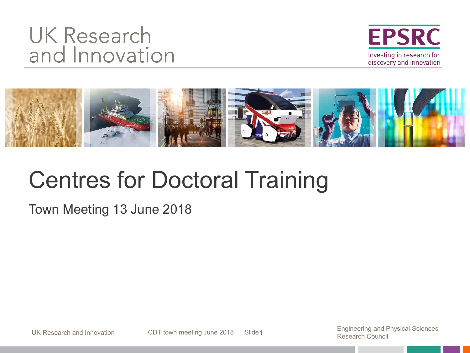# Centres for Doctoral Training

#### Town Meeting 13 June 2018

CDT town meeting June 2018





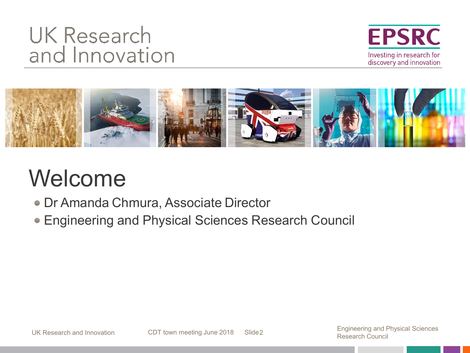UK Research and Innovation CDT town meeting June 2018 Slide 2 Suite Communication CDT town meeting June 2018 Slide 2 CDT town meeting June 2018

### **UK Research** and Innovation

**EPSRC** Investing in research for discovery and innovation



# Welcome

- Dr Amanda Chmura, Associate Director
- Engineering and Physical Sciences Research Council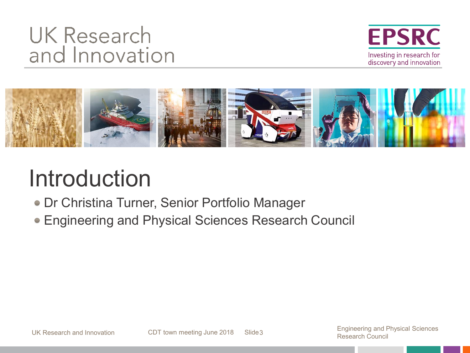UK Research and Innovation **Engineering and Physical Sciences**<br>
Engineering and Physical Sciences<br>
Research Council

#### CDT town meeting June 2018

### Introduction

- Dr Christina Turner, Senior Portfolio Manager
- Engineering and Physical Sciences Research Council



#### **UK Research** and Innovation

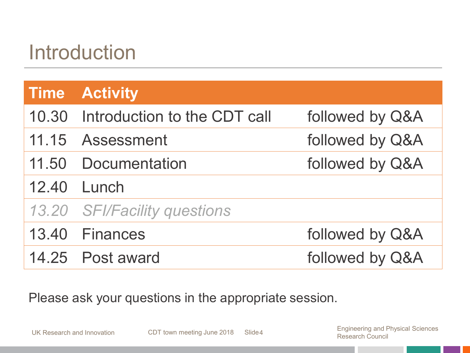### Introduction

| <b>Time Activity</b>               |                 |
|------------------------------------|-----------------|
| 10.30 Introduction to the CDT call | followed by Q&A |
| 11.15 Assessment                   | followed by Q&A |
| 11.50 Documentation                | followed by Q&A |
| 12.40 Lunch                        |                 |
| 13.20 SFI/Facility questions       |                 |
| 13.40 Finances                     | followed by Q&A |
| 14.25 Post award                   | followed by Q&A |

Please ask your questions in the appropriate session.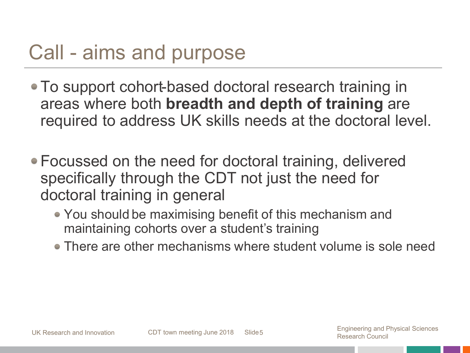#### Call - aims and purpose

- To support cohort-based doctoral research training in areas where both **breadth and depth of training** are required to address UK skills needs at the doctoral level.
- Focussed on the need for doctoral training, delivered specifically through the CDT not just the need for doctoral training in general
	- You should be maximising benefit of this mechanism and maintaining cohorts over a student's training
	- There are other mechanisms where student volume is sole need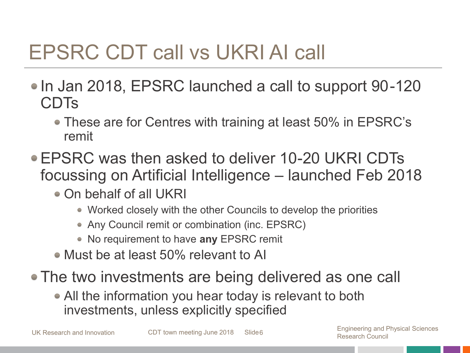### EPSRC CDT call vs UKRI AI call

- In Jan 2018, EPSRC launched a call to support 90-120 CDTs
	- These are for Centres with training at least 50% in EPSRC's remit
- EPSRC was then asked to deliver 10-20 UKRI CDTs focussing on Artificial Intelligence – launched Feb 2018
	- On behalf of all UKRI
		- Worked closely with the other Councils to develop the priorities
		- Any Council remit or combination (inc. EPSRC)
		- No requirement to have **any** EPSRC remit
	- Must be at least 50% relevant to AI
- The two investments are being delivered as one call
	- All the information you hear today is relevant to both investments, unless explicitly specified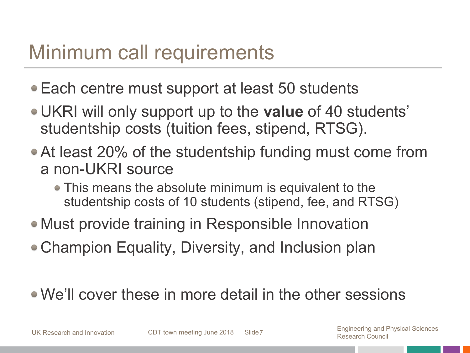### Minimum call requirements

- Each centre must support at least 50 students
- UKRI will only support up to the **value** of 40 students' studentship costs (tuition fees, stipend, RTSG).
- At least 20% of the studentship funding must come from a non-UKRI source
	- This means the absolute minimum is equivalent to the studentship costs of 10 students (stipend, fee, and RTSG)
- Must provide training in Responsible Innovation
- Champion Equality, Diversity, and Inclusion plan

#### We'll cover these in more detail in the other sessions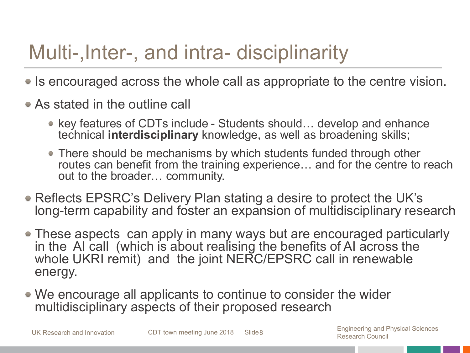## Multi-,Inter-, and intra- disciplinarity

- Is encouraged across the whole call as appropriate to the centre vision.
- As stated in the outline call
	- key features of CDTs include Students should... develop and enhance technical **interdisciplinary** knowledge, as well as broadening skills;
	- There should be mechanisms by which students funded through other routes can benefit from the training experience… and for the centre to reach out to the broader… community.
- Reflects EPSRC's Delivery Plan stating a desire to protect the UK's long-term capability and foster an expansion of multidisciplinary research
- These aspects can apply in many ways but are encouraged particularly in the AI call (which is about realising the benefits of AI across the whole UKRI remit) and the joint NERC/EPSRC call in renewable energy.
- We encourage all applicants to continue to consider the wider multidisciplinary aspects of their proposed research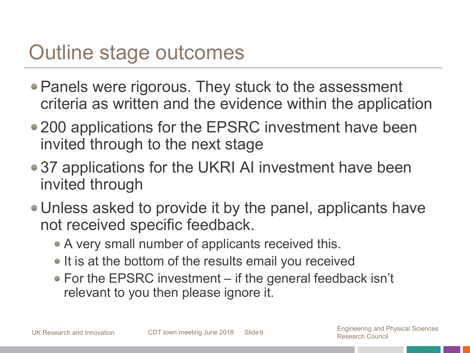#### Outline stage outcomes

- Panels were rigorous. They stuck to the assessment criteria as written and the evidence within the application
- 200 applications for the EPSRC investment have been invited through to the next stage
- 37 applications for the UKRI AI investment have been invited through
- Unless asked to provide it by the panel, applicants have not received specific feedback.
	- A very small number of applicants received this.
	- It is at the bottom of the results email you received
	- For the EPSRC investment if the general feedback isn't relevant to you then please ignore it.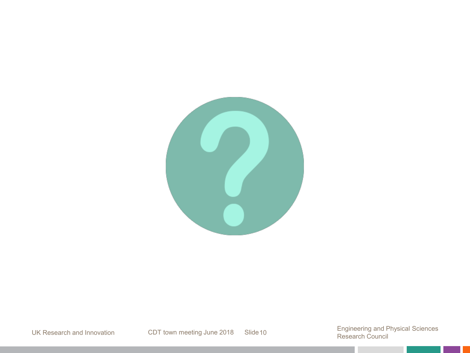

UK Research and Innovation CDT town meeting June 2018 Slide 10 Engineering and Physical Sciences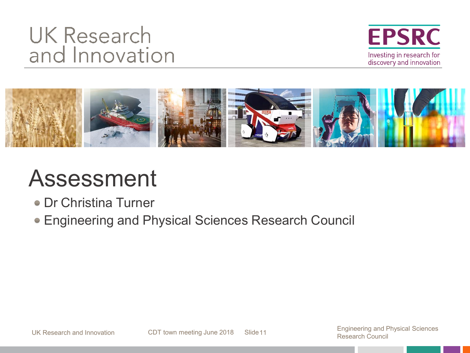Research Council

# Assessment

- Dr Christina Turner
- Engineering and Physical Sciences Research Council

#### **UK Research** and Innovation

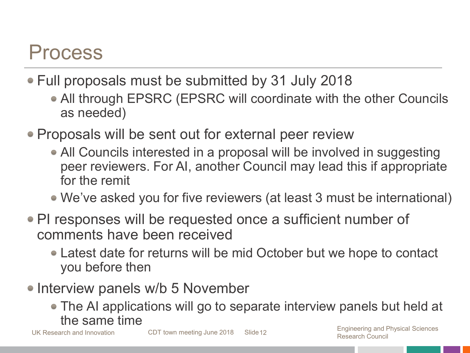#### Process

- Full proposals must be submitted by 31 July 2018
	- All through EPSRC (EPSRC will coordinate with the other Councils as needed)
- Proposals will be sent out for external peer review
	- All Councils interested in a proposal will be involved in suggesting peer reviewers. For AI, another Council may lead this if appropriate for the remit
	- We've asked you for five reviewers (at least 3 must be international)
- PI responses will be requested once a sufficient number of comments have been received
	- Latest date for returns will be mid October but we hope to contact you before then
- Interview panels w/b 5 November
	- UK Research and Innovation CDT town meeting June 2018 Slide 12 The AI applications will go to separate interview panels but held at the same time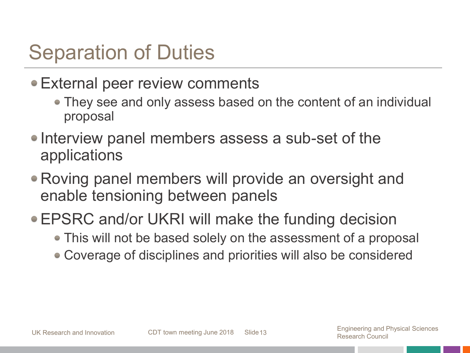## Separation of Duties

- External peer review comments
	- They see and only assess based on the content of an individual proposal
- Interview panel members assess a sub-set of the applications
- Roving panel members will provide an oversight and enable tensioning between panels
- EPSRC and/or UKRI will make the funding decision
	- This will not be based solely on the assessment of a proposal
	- Coverage of disciplines and priorities will also be considered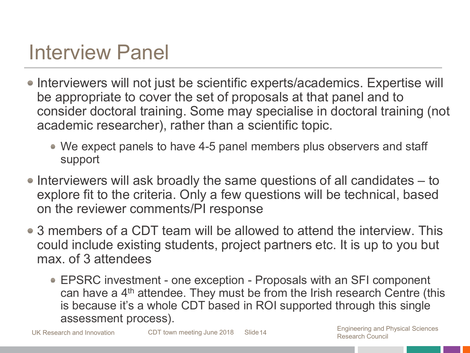#### Interview Panel

- Interviewers will not just be scientific experts/academics. Expertise will be appropriate to cover the set of proposals at that panel and to consider doctoral training. Some may specialise in doctoral training (not academic researcher), rather than a scientific topic.
	- We expect panels to have 4-5 panel members plus observers and staff support
- Interviewers will ask broadly the same questions of all candidates to explore fit to the criteria. Only a few questions will be technical, based on the reviewer comments/PI response
- 3 members of a CDT team will be allowed to attend the interview. This could include existing students, project partners etc. It is up to you but max. of 3 attendees
	- EPSRC investment one exception Proposals with an SFI component can have a 4<sup>th</sup> attendee. They must be from the Irish research Centre (this is because it's a whole CDT based in ROI supported through this single assessment process).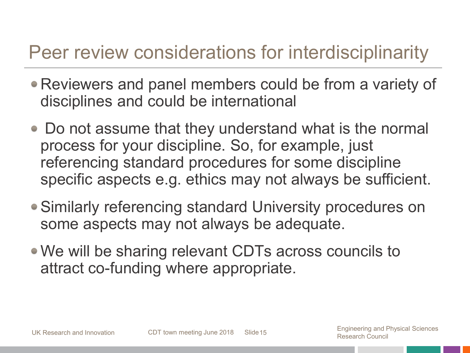#### Peer review considerations for interdisciplinarity

- Reviewers and panel members could be from a variety of disciplines and could be international
- Do not assume that they understand what is the normal process for your discipline. So, for example, just referencing standard procedures for some discipline specific aspects e.g. ethics may not always be sufficient.
- Similarly referencing standard University procedures on some aspects may not always be adequate.
- We will be sharing relevant CDTs across councils to attract co-funding where appropriate.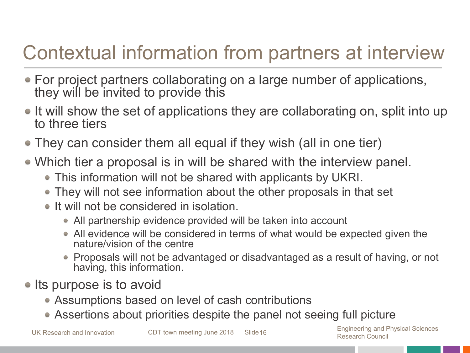### Contextual information from partners at interview

- For project partners collaborating on a large number of applications, they will be invited to provide this
- It will show the set of applications they are collaborating on, split into up to three tiers
- They can consider them all equal if they wish (all in one tier)
- Which tier a proposal is in will be shared with the interview panel.
	- This information will not be shared with applicants by UKRI.
	- They will not see information about the other proposals in that set
	- It will not be considered in isolation.
		- All partnership evidence provided will be taken into account
		- All evidence will be considered in terms of what would be expected given the nature/vision of the centre
		- Proposals will not be advantaged or disadvantaged as a result of having, or not having, this information.
- Its purpose is to avoid
	- Assumptions based on level of cash contributions
	- Assertions about priorities despite the panel not seeing full picture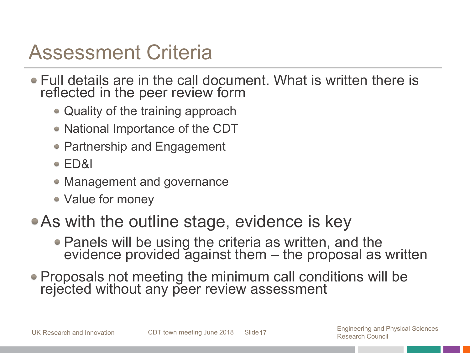### Assessment Criteria

- Full details are in the call document. What is written there is reflected in the peer review form
	- Quality of the training approach
	- National Importance of the CDT
	- Partnership and Engagement
	- ED&I
	- Management and governance
	- Value for money

#### • As with the outline stage, evidence is key

- Panels will be using the criteria as written, and the evidence provided against them – the proposal as written
- Proposals not meeting the minimum call conditions will be rejected without any peer review assessment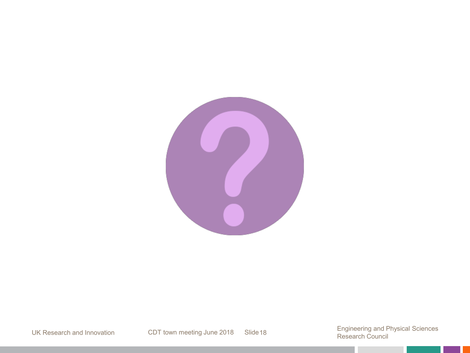

UK Research and Innovation CDT town meeting June 2018 Slide 18 Engineering and Physical Sciences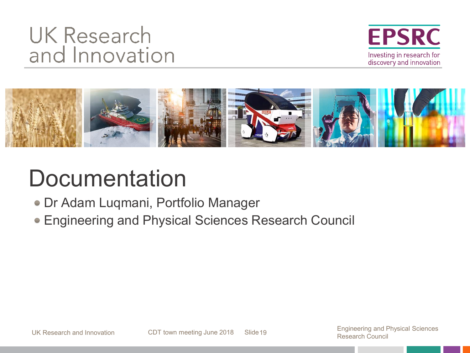Dr Adam Luqmani, Portfolio Manager

Engineering and Physical Sciences Research Council

#### Research Council



#### UK Research and Innovation

**Documentation** 

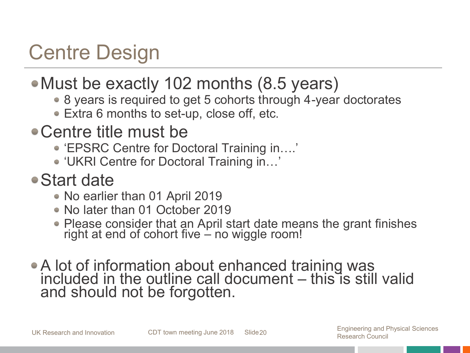### Centre Design

#### • Must be exactly 102 months (8.5 years)

- 8 years is required to get 5 cohorts through 4-year doctorates
- Extra 6 months to set-up, close off, etc.

#### Centre title must be

- 'EPSRC Centre for Doctoral Training in….'
- 'UKRI Centre for Doctoral Training in…'

#### Start date

- No earlier than 01 April 2019
- No later than 01 October 2019
- Please consider that an April start date means the grant finishes right at end of cohort five  $\dot{-}$  no wiggle room!
- A lot of information about enhanced training was included in the outline call document – this is still valid and should not be forgotten.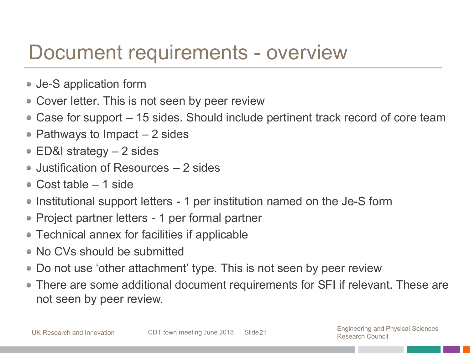#### Document requirements - overview

- Je-S application form
- Cover letter. This is not seen by peer review
- Case for support 15 sides. Should include pertinent track record of core team  $\bigcirc$
- Pathways to Impact  $-2$  sides
- ED&I strategy 2 sides
- Justification of Resources 2 sides
- Cost table 1 side
- Institutional support letters 1 per institution named on the Je-S form
- Project partner letters 1 per formal partner
- Technical annex for facilities if applicable
- No CVs should be submitted
- Do not use 'other attachment' type. This is not seen by peer review
- There are some additional document requirements for SFI if relevant. These are not seen by peer review.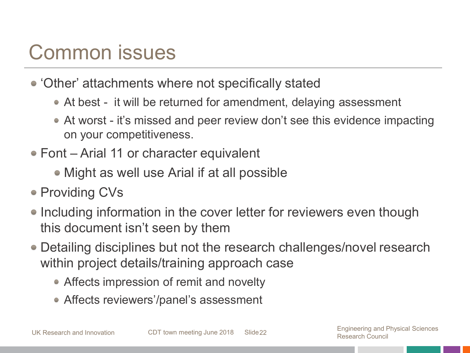#### Common issues

- 'Other' attachments where not specifically stated
	- At best it will be returned for amendment, delaying assessment
	- At worst it's missed and peer review don't see this evidence impacting on your competitiveness.
- Font Arial 11 or character equivalent
	- Might as well use Arial if at all possible
- Providing CVs
- Including information in the cover letter for reviewers even though this document isn't seen by them
- Detailing disciplines but not the research challenges/novel research within project details/training approach case
	- Affects impression of remit and novelty
	- Affects reviewers'/panel's assessment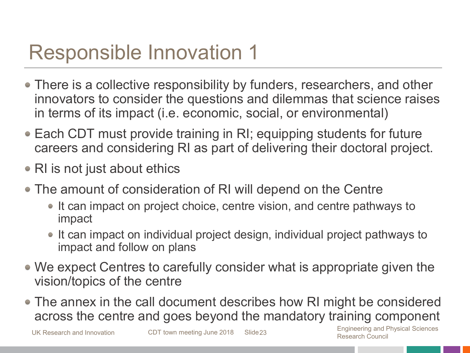## Responsible Innovation 1

- There is a collective responsibility by funders, researchers, and other innovators to consider the questions and dilemmas that science raises in terms of its impact (i.e. economic, social, or environmental)
- Each CDT must provide training in RI; equipping students for future careers and considering RI as part of delivering their doctoral project.
- RI is not just about ethics
- The amount of consideration of RI will depend on the Centre
	- It can impact on project choice, centre vision, and centre pathways to impact
	- It can impact on individual project design, individual project pathways to impact and follow on plans
- We expect Centres to carefully consider what is appropriate given the vision/topics of the centre
- The annex in the call document describes how RI might be considered across the centre and goes beyond the mandatory training component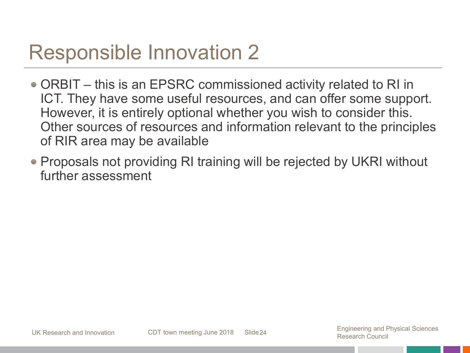### Responsible Innovation 2

- ORBIT this is an EPSRC commissioned activity related to RI in ICT. They have some useful resources, and can offer some support. However, it is entirely optional whether you wish to consider this. Other sources of resources and information relevant to the principles of RIR area may be available
- Proposals not providing RI training will be rejected by UKRI without further assessment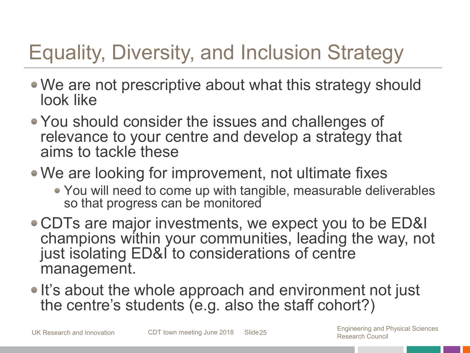## Equality, Diversity, and Inclusion Strategy

- We are not prescriptive about what this strategy should look like
- You should consider the issues and challenges of relevance to your centre and develop a strategy that aims to tackle these
- We are looking for improvement, not ultimate fixes
	- You will need to come up with tangible, measurable deliverables so that progress can be monitored
- CDTs are major investments, we expect you to be ED&I champions within your communities, leading the way, not just isolating ED&I to considerations of centre management.
- It's about the whole approach and environment not just the centre's students (e.g. also the staff cohort?)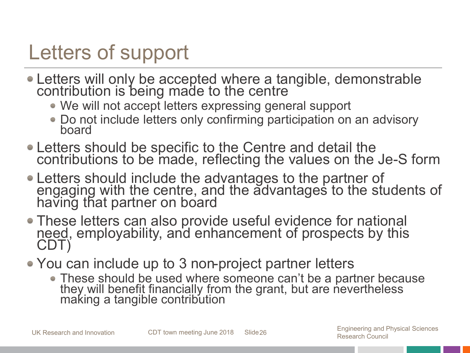## Letters of support

- Letters will only be accepted where a tangible, demonstrable contribution is being made to the centre
	- We will not accept letters expressing general support
	- Do not include letters only confirming participation on an advisory board
- Letters should be specific to the Centre and detail the contributions to be made, reflecting the values on the Je-S form
- Letters should include the advantages to the partner of engaging with the centre, and the advantages to the students of having that partner on board
- These letters can also provide useful evidence for national need, employability, and enhancement of prospects by this CDT)
- You can include up to 3 non-project partner letters
	- These should be used where someone can't be a partner because they will benefit financially from the grant, but are nevertheless making a tangible contribution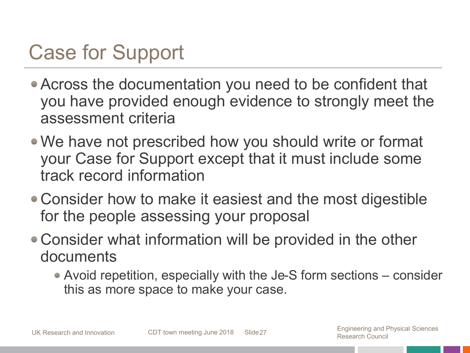### Case for Support

- Across the documentation you need to be confident that you have provided enough evidence to strongly meet the assessment criteria
- We have not prescribed how you should write or format your Case for Support except that it must include some track record information
- Consider how to make it easiest and the most digestible for the people assessing your proposal
- Consider what information will be provided in the other documents
	- Avoid repetition, especially with the Je-S form sections consider this as more space to make your case.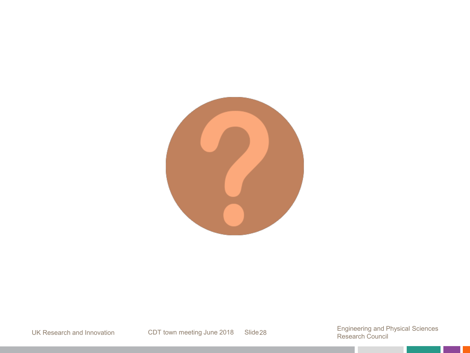

UK Research and Innovation CDT town meeting June 2018 Slide 28 Engineering and Physical Sciences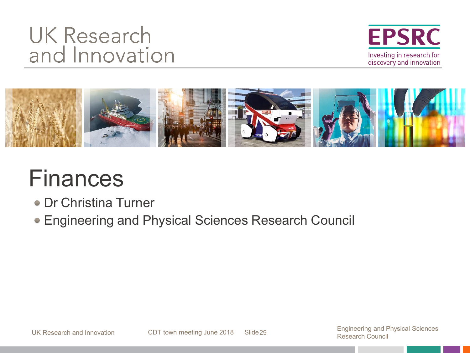## Finances

- Dr Christina Turner
- Engineering and Physical Sciences Research Council





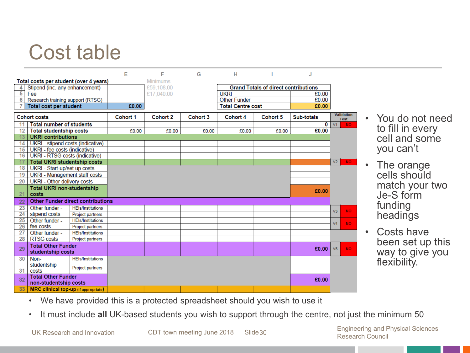#### Cost table

|                                                |                                        |                          | Е        | Е               | G        | н                        |                                             | J            |                                  |                   |
|------------------------------------------------|----------------------------------------|--------------------------|----------|-----------------|----------|--------------------------|---------------------------------------------|--------------|----------------------------------|-------------------|
|                                                | Total costs per student (over 4 years) |                          |          | <b>Minimums</b> |          |                          |                                             |              |                                  |                   |
| 4                                              | Stipend (inc. any enhancement)         |                          |          | £59,108.00      |          |                          | <b>Grand Totals of direct contributions</b> |              |                                  |                   |
| 5                                              | Fee                                    |                          |          | £17,040.00      |          | <b>UKRI</b>              |                                             | £0.00        |                                  |                   |
| 6                                              | Research training support (RTSG)       |                          |          |                 |          | <b>Other Funder</b>      |                                             | E0.00        |                                  |                   |
|                                                | <b>Total cost per student</b>          |                          | £0.00    |                 |          | <b>Total Centre cost</b> |                                             | £0.00        |                                  |                   |
|                                                | <b>Cohort costs</b>                    |                          | Cohort 1 | Cohort 2        | Cohort 3 | Cohort 4                 | Cohort 5                                    | Sub-totals   | <b>Validation</b><br><b>Test</b> | • You do not need |
|                                                | <b>Total number of students</b>        |                          |          |                 |          |                          |                                             | $\mathbf{0}$ | V1<br>NO.                        |                   |
| 12                                             | <b>Total studentship costs</b>         |                          | £0.00    | £0.00           | £0.00    | £0.00                    | £0.00                                       | £0.00        |                                  | to fill in every  |
|                                                | <b>UKRI</b> contributions              |                          |          |                 |          |                          |                                             |              |                                  | cell and some     |
| 14                                             | UKRI - stipend costs (indicative)      |                          |          |                 |          |                          |                                             |              |                                  |                   |
| 15                                             | UKRI - fee costs (indicative)          |                          |          |                 |          |                          |                                             |              |                                  | you can't         |
| 16                                             | UKRI - RTSG costs (indicative)         |                          |          |                 |          |                          |                                             |              |                                  |                   |
|                                                | <b>Total UKRI studentship costs</b>    |                          |          |                 |          |                          |                                             |              | V2<br>NO.                        |                   |
| 18                                             | UKRI - Start-up/set up costs           |                          |          |                 |          |                          |                                             |              |                                  | The orange        |
| 19                                             | <b>UKRI</b> - Management staff costs   |                          |          |                 |          |                          |                                             |              |                                  | cells should      |
| 20                                             | UKRI - Other delivery costs            |                          |          |                 |          |                          |                                             |              |                                  |                   |
|                                                | <b>Total UKRI non-studentship</b>      |                          |          |                 |          |                          |                                             |              |                                  | match your two    |
| 2 <sup>1</sup><br>costs                        |                                        |                          |          |                 |          |                          | £0.00                                       |              | Je-S form                        |                   |
| <b>Other Funder direct contributions</b><br>22 |                                        |                          |          |                 |          |                          |                                             |              |                                  |                   |
| 23                                             | Other funder -                         | <b>HEIs/Institutions</b> |          |                 |          |                          |                                             |              | V3<br>NO.                        | funding           |
| 24                                             | stipend costs                          | Project partners         |          |                 |          |                          |                                             |              |                                  | headings          |
| 25                                             | Other funder -                         | <b>HEIs/Institutions</b> |          |                 |          |                          |                                             |              | V <sub>4</sub>                   |                   |
| 26                                             | fee costs                              | Project partners         |          |                 |          |                          |                                             |              | NO.                              |                   |
| 27                                             | Other funder -                         | <b>HEIs/Institutions</b> |          |                 |          |                          |                                             |              |                                  | Costs have        |
| 28                                             | <b>RTSG costs</b>                      | <b>Project partners</b>  |          |                 |          |                          |                                             |              |                                  | been set up this  |
| 29                                             | <b>Total Other Funder</b>              |                          |          |                 |          |                          |                                             | £0.00        | V <sub>5</sub><br>NO.            |                   |
|                                                | studentship costs                      |                          |          |                 |          |                          |                                             |              |                                  | way to give you   |
| 30                                             | Non-                                   | <b>HEIs/Institutions</b> |          |                 |          |                          |                                             |              |                                  |                   |
|                                                | studentship                            |                          |          |                 |          |                          |                                             |              |                                  | flexibility.      |
| 31                                             | costs                                  | Project partners         |          |                 |          |                          |                                             |              |                                  |                   |
| 32                                             | <b>Total Other Funder</b>              |                          |          |                 |          |                          |                                             | £0.00        |                                  |                   |
|                                                | non-studentship costs                  |                          |          |                 |          |                          |                                             |              |                                  |                   |
| <b>MRC clinical top-up</b> (if appropriate)    |                                        |                          |          |                 |          |                          |                                             |              |                                  |                   |

- We have provided this is a protected spreadsheet should you wish to use it
- It must include **all** UK-based students you wish to support through the centre, not just the minimum 50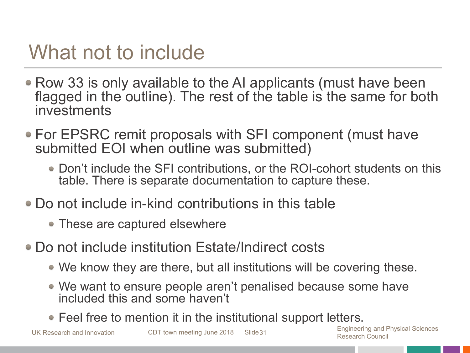## What not to include

- Row 33 is only available to the AI applicants (must have been flagged in the outline). The rest of the table is the same for both investments
- For EPSRC remit proposals with SFI component (must have submitted EOI when outline was submitted)
	- Don't include the SFI contributions, or the ROI-cohort students on this table. There is separate documentation to capture these.
- Do not include in-kind contributions in this table
	- These are captured elsewhere
- Do not include institution Estate/Indirect costs
	- We know they are there, but all institutions will be covering these.
	- We want to ensure people aren't penalised because some have included this and some haven't
	- Feel free to mention it in the institutional support letters.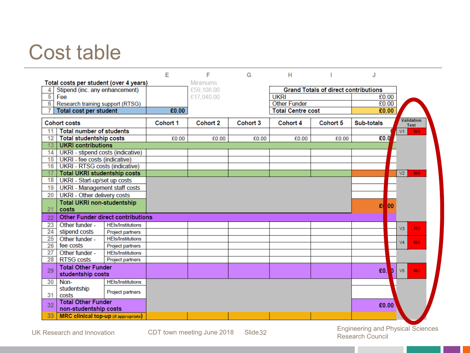#### Cost table

|                                        |                                                    |                          | E               | F               | G                        | н                                           |                   | J                                |                       |
|----------------------------------------|----------------------------------------------------|--------------------------|-----------------|-----------------|--------------------------|---------------------------------------------|-------------------|----------------------------------|-----------------------|
| Total costs per student (over 4 years) |                                                    |                          |                 | <b>Minimums</b> |                          |                                             |                   |                                  |                       |
| 4                                      | Stipend (inc. any enhancement)                     |                          |                 | £59,108.00      |                          | <b>Grand Totals of direct contributions</b> |                   |                                  |                       |
| 5                                      | Fee                                                |                          |                 | £17,040.00      |                          | <b>UKRI</b>                                 |                   | £0.00                            |                       |
|                                        | 6<br>Research training support (RTSG)              |                          |                 |                 |                          | <b>Other Funder</b>                         |                   | £0.00                            |                       |
| <b>Total cost per student</b>          |                                                    | £0.00                    |                 |                 | <b>Total Centre cost</b> |                                             | £0.00             |                                  |                       |
| <b>Cohort costs</b>                    |                                                    | Cohort 1                 | <b>Cohort 2</b> | Cohort 3        | Cohort 4                 | Cohort 5                                    | <b>Sub-totals</b> | <b>Validation</b><br><b>Test</b> |                       |
|                                        | <b>Total number of students</b><br>11              |                          |                 |                 |                          |                                             |                   |                                  | V <sub>1</sub><br>NO. |
| 12                                     | <b>Total studentship costs</b>                     |                          | £0.00           | £0.00           | £0.00                    | £0.00                                       | £0.00             | £0.0                             |                       |
| 13                                     | <b>UKRI</b> contributions                          |                          |                 |                 |                          |                                             |                   |                                  |                       |
| 14                                     | UKRI - stipend costs (indicative)                  |                          |                 |                 |                          |                                             |                   |                                  |                       |
| 15                                     | UKRI - fee costs (indicative)                      |                          |                 |                 |                          |                                             |                   |                                  |                       |
| 16                                     | <b>UKRI - RTSG costs (indicative)</b>              |                          |                 |                 |                          |                                             |                   |                                  |                       |
| 17                                     | <b>Total UKRI studentship costs</b>                |                          |                 |                 |                          |                                             |                   |                                  | V2<br>NO.             |
| 18                                     | UKRI - Start-up/set up costs                       |                          |                 |                 |                          |                                             |                   |                                  |                       |
| 19                                     | UKRI - Management staff costs                      |                          |                 |                 |                          |                                             |                   |                                  |                       |
| 20                                     | UKRI - Other delivery costs                        |                          |                 |                 |                          |                                             |                   |                                  |                       |
| 21                                     | <b>Total UKRI non-studentship</b><br>costs         |                          |                 |                 |                          |                                             |                   | 00<br>£                          |                       |
| 22                                     | <b>Other Funder direct contributions</b>           |                          |                 |                 |                          |                                             |                   |                                  |                       |
| 23                                     | Other funder -                                     | <b>HEIs/Institutions</b> |                 |                 |                          |                                             |                   |                                  | NO.                   |
| 24                                     | stipend costs                                      | Project partners         |                 |                 |                          |                                             |                   |                                  | V3                    |
| 25                                     | Other funder -                                     | <b>HEIs/Institutions</b> |                 |                 |                          |                                             |                   |                                  | NO.<br>V <sub>4</sub> |
| 26                                     | fee costs                                          | Project partners         |                 |                 |                          |                                             |                   |                                  |                       |
| 27                                     | Other funder -                                     | <b>HEIs/Institutions</b> |                 |                 |                          |                                             |                   |                                  |                       |
| 28                                     | <b>RTSG costs</b>                                  | Project partners         |                 |                 |                          |                                             |                   |                                  |                       |
| 29                                     | <b>Total Other Funder</b><br>studentship costs     |                          |                 |                 |                          |                                             |                   | £0.                              | V <sub>5</sub><br>NO. |
| 30                                     | Non-<br><b>HEIs/Institutions</b>                   |                          |                 |                 |                          |                                             |                   |                                  |                       |
| 31                                     | studentship<br>costs                               | Project partners         |                 |                 |                          |                                             |                   |                                  |                       |
| 32                                     | <b>Total Other Funder</b><br>non-studentship costs |                          |                 |                 |                          |                                             |                   | £0.00                            |                       |
| 33                                     | <b>MRC clinical top-up</b> (if appropriate)        |                          |                 |                 |                          |                                             |                   |                                  |                       |
|                                        |                                                    |                          |                 |                 |                          |                                             |                   |                                  |                       |

UK Research and Innovation CDT town meeting June 2018 Slide 32 Engineering and Physical Sciences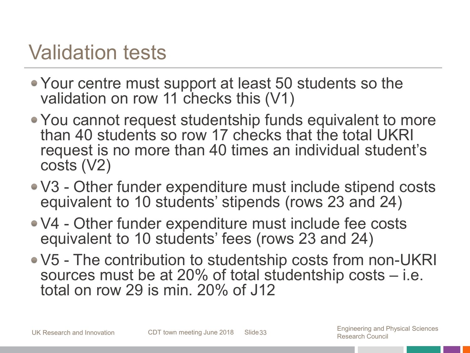#### Validation tests

- Your centre must support at least 50 students so the validation on row 11 checks this (V1)
- You cannot request studentship funds equivalent to more than 40 students so row 17 checks that the total UKRI request is no more than 40 times an individual student's costs (V2)
- V3 Other funder expenditure must include stipend costs equivalent to 10 students' stipends (rows 23 and 24)
- V4 Other funder expenditure must include fee costs equivalent to 10 students' fees (rows 23 and 24)
- V5 The contribution to studentship costs from non-UKRI sources must be at 20% of total studentship costs – i.e. total on row 29 is min. 20% of J12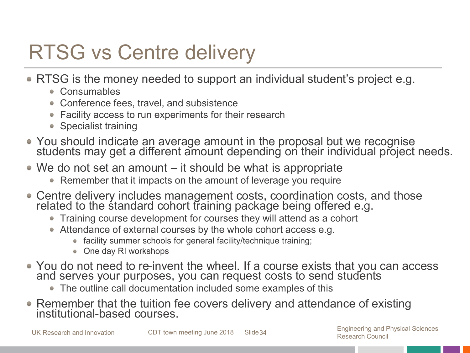## RTSG vs Centre delivery

- RTSG is the money needed to support an individual student's project e.g.
	- Consumables
	- Conference fees, travel, and subsistence
	- Facility access to run experiments for their research
	- Specialist training
- You should indicate an average amount in the proposal but we recognise students may get a different amount depending on their individual project needs.
- We do not set an amount it should be what is appropriate
	- Remember that it impacts on the amount of leverage you require
- Centre delivery includes management costs, coordination costs, and those related to the standard cohort training package being offered e.g.
	- Training course development for courses they will attend as a cohort
	- Attendance of external courses by the whole cohort access e.g.
		- facility summer schools for general facility/technique training;
		- One day RI workshops
- You do not need to re-invent the wheel. If a course exists that you can access and serves your purposes, you can request costs to send students
	- The outline call documentation included some examples of this
- Remember that the tuition fee covers delivery and attendance of existing institutional-based courses.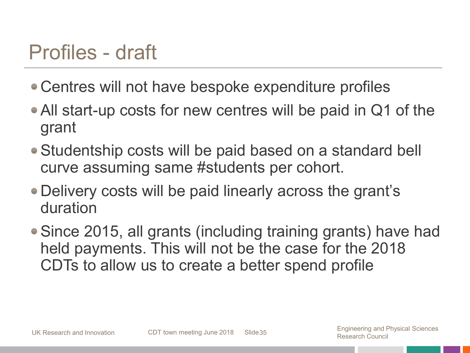#### Profiles - draft

- Centres will not have bespoke expenditure profiles
- All start-up costs for new centres will be paid in Q1 of the grant
- Studentship costs will be paid based on a standard bell curve assuming same #students per cohort.
- Delivery costs will be paid linearly across the grant's duration
- Since 2015, all grants (including training grants) have had held payments. This will not be the case for the 2018 CDTs to allow us to create a better spend profile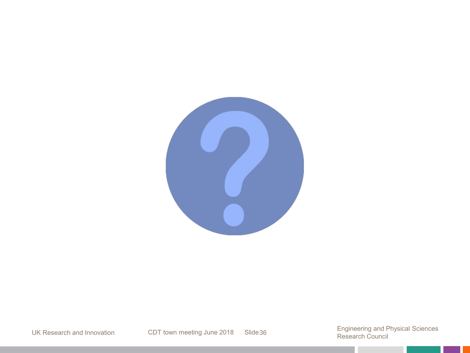

UK Research and Innovation CDT town meeting June 2018 Slide 36 Engineering and Physical Sciences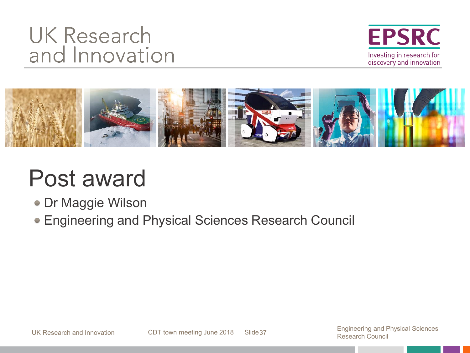#### UK Research and Innovation CDT town meeting June 2018 Slide 37 Engineering and Physical Sciences CDT town meeting June 2018

Research Council

## Post award

- Dr Maggie Wilson
- Engineering and Physical Sciences Research Council



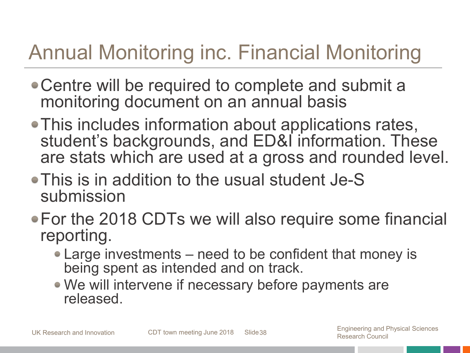## Annual Monitoring inc. Financial Monitoring

- Centre will be required to complete and submit a monitoring document on an annual basis
- This includes information about applications rates, student's backgrounds, and ED&I information. These are stats which are used at a gross and rounded level.
- This is in addition to the usual student Je-S submission
- For the 2018 CDTs we will also require some financial reporting.
	- Large investments need to be confident that money is being spent as intended and on track.
	- We will intervene if necessary before payments are released.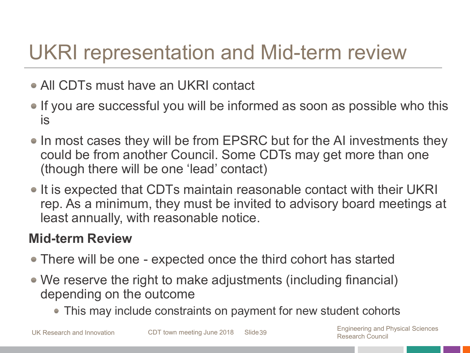## UKRI representation and Mid-term review

- All CDTs must have an UKRI contact
- If you are successful you will be informed as soon as possible who this is
- In most cases they will be from EPSRC but for the AI investments they could be from another Council. Some CDTs may get more than one (though there will be one 'lead' contact)
- It is expected that CDTs maintain reasonable contact with their UKRI rep. As a minimum, they must be invited to advisory board meetings at least annually, with reasonable notice.

#### **Mid-term Review**

- There will be one expected once the third cohort has started
- We reserve the right to make adjustments (including financial) depending on the outcome
	- This may include constraints on payment for new student cohorts